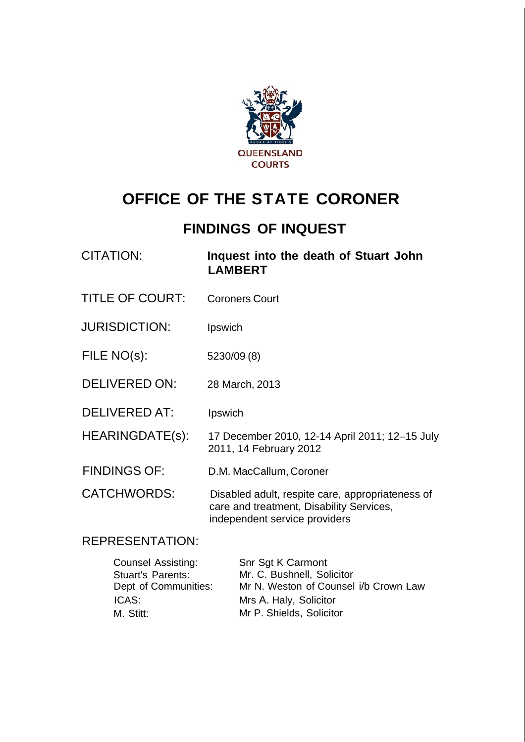

# **OFFICE OF THE STATE CORONER**

## **FINDINGS OF INQUEST**

CITATION: **Inquest into the death of Stuart John LAMBERT** 

- TITLE OF COURT: Coroners Court
- JURISDICTION: Ipswich
- FILE NO(s): 5230/09 (8)
- DELIVERED ON: 28 March, 2013
- DELIVERED AT: Ipswich

HEARINGDATE(s): 17 December 2010, 12-14 April 2011; 12–15 July 2011, 14 February 2012

FINDINGS OF: D.M. MacCallum, Coroner

CATCHWORDS: Disabled adult, respite care, appropriateness of care and treatment, Disability Services, independent service providers

### REPRESENTATION:

| <b>Counsel Assisting:</b> | Snr Sgt K Carmont                     |
|---------------------------|---------------------------------------|
| <b>Stuart's Parents:</b>  | Mr. C. Bushnell, Solicitor            |
| Dept of Communities:      | Mr N. Weston of Counsel i/b Crown Law |
| ICAS:                     | Mrs A. Haly, Solicitor                |
| M. Stitt:                 | Mr P. Shields, Solicitor              |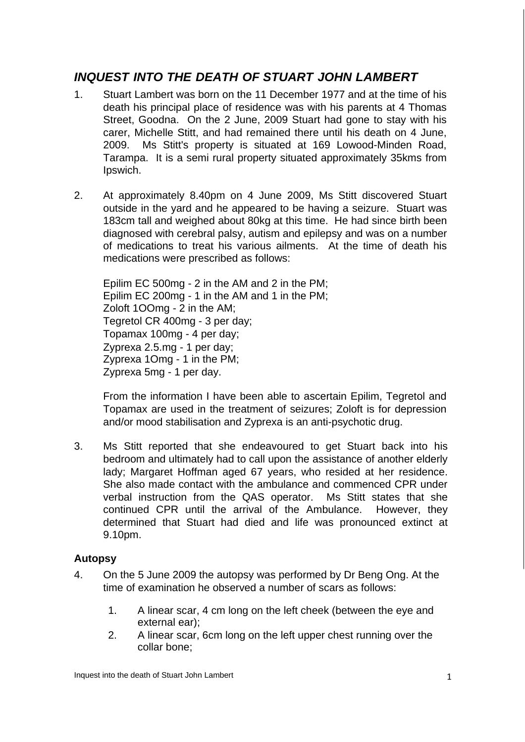## *INQUEST INTO THE DEATH OF STUART JOHN LAMBERT*

- 1. Stuart Lambert was born on the 11 December 1977 and at the time of his death his principal place of residence was with his parents at 4 Thomas Street, Goodna. On the 2 June, 2009 Stuart had gone to stay with his carer, Michelle Stitt, and had remained there until his death on 4 June, 2009. Ms Stitt's property is situated at 169 Lowood-Minden Road, Tarampa. It is a semi rural property situated approximately 35kms from Ipswich.
- 2. At approximately 8.40pm on 4 June 2009, Ms Stitt discovered Stuart outside in the yard and he appeared to be having a seizure. Stuart was 183cm tall and weighed about 80kg at this time. He had since birth been diagnosed with cerebral palsy, autism and epilepsy and was on a number of medications to treat his various ailments. At the time of death his medications were prescribed as follows:

Epilim EC 500mg - 2 in the AM and 2 in the PM; Epilim EC 200mg - 1 in the AM and 1 in the PM; Zoloft 1OOmg - 2 in the AM; Tegretol CR 400mg - 3 per day; Topamax 100mg - 4 per day; Zyprexa 2.5.mg - 1 per day; Zyprexa 1Omg - 1 in the PM; Zyprexa 5mg - 1 per day.

From the information I have been able to ascertain Epilim, Tegretol and Topamax are used in the treatment of seizures; Zoloft is for depression and/or mood stabilisation and Zyprexa is an anti-psychotic drug.

3. Ms Stitt reported that she endeavoured to get Stuart back into his bedroom and ultimately had to call upon the assistance of another elderly lady; Margaret Hoffman aged 67 years, who resided at her residence. She also made contact with the ambulance and commenced CPR under verbal instruction from the QAS operator. Ms Stitt states that she continued CPR until the arrival of the Ambulance. However, they determined that Stuart had died and life was pronounced extinct at 9.10pm.

#### **Autopsy**

- 4. On the 5 June 2009 the autopsy was performed by Dr Beng Ong. At the time of examination he observed a number of scars as follows:
	- 1. A linear scar, 4 cm long on the left cheek (between the eye and external ear);
	- 2. A linear scar, 6cm long on the left upper chest running over the collar bone;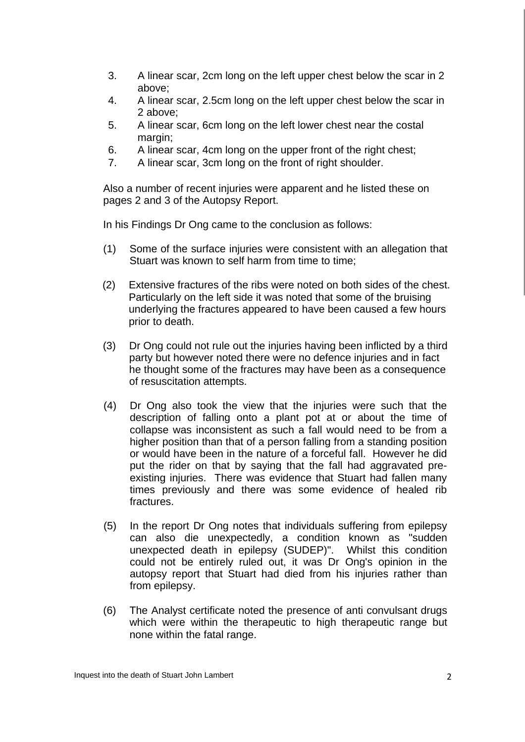- 3. A linear scar, 2cm long on the left upper chest below the scar in 2 above;
- 4. A linear scar, 2.5cm long on the left upper chest below the scar in 2 above;
- 5. A linear scar, 6cm long on the left lower chest near the costal margin;
- 6. A linear scar, 4cm long on the upper front of the right chest;
- 7. A linear scar, 3cm long on the front of right shoulder.

Also a number of recent injuries were apparent and he listed these on pages 2 and 3 of the Autopsy Report.

In his Findings Dr Ong came to the conclusion as follows:

- (1) Some of the surface injuries were consistent with an allegation that Stuart was known to self harm from time to time:
- (2) Extensive fractures of the ribs were noted on both sides of the chest. Particularly on the left side it was noted that some of the bruising underlying the fractures appeared to have been caused a few hours prior to death.
- (3) Dr Ong could not rule out the injuries having been inflicted by a third party but however noted there were no defence injuries and in fact he thought some of the fractures may have been as a consequence of resuscitation attempts.
- (4) Dr Ong also took the view that the injuries were such that the description of falling onto a plant pot at or about the time of collapse was inconsistent as such a fall would need to be from a higher position than that of a person falling from a standing position or would have been in the nature of a forceful fall. However he did put the rider on that by saying that the fall had aggravated preexisting injuries. There was evidence that Stuart had fallen many times previously and there was some evidence of healed rib fractures.
- (5) In the report Dr Ong notes that individuals suffering from epilepsy can also die unexpectedly, a condition known as "sudden unexpected death in epilepsy (SUDEP)". Whilst this condition could not be entirely ruled out, it was Dr Ong's opinion in the autopsy report that Stuart had died from his injuries rather than from epilepsy.
- (6) The Analyst certificate noted the presence of anti convulsant drugs which were within the therapeutic to high therapeutic range but none within the fatal range.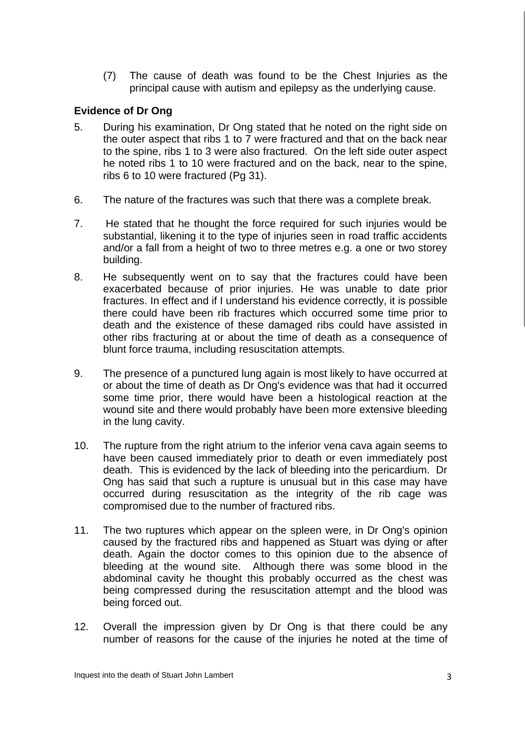(7) The cause of death was found to be the Chest Injuries as the principal cause with autism and epilepsy as the underlying cause.

#### **Evidence of Dr Ong**

- 5. During his examination, Dr Ong stated that he noted on the right side on the outer aspect that ribs 1 to 7 were fractured and that on the back near to the spine, ribs 1 to 3 were also fractured. On the left side outer aspect he noted ribs 1 to 10 were fractured and on the back, near to the spine, ribs 6 to 10 were fractured (Pg 31).
- 6. The nature of the fractures was such that there was a complete break.
- 7. He stated that he thought the force required for such injuries would be substantial, likening it to the type of injuries seen in road traffic accidents and/or a fall from a height of two to three metres e.g. a one or two storey building.
- 8. He subsequently went on to say that the fractures could have been exacerbated because of prior injuries. He was unable to date prior fractures. In effect and if I understand his evidence correctly, it is possible there could have been rib fractures which occurred some time prior to death and the existence of these damaged ribs could have assisted in other ribs fracturing at or about the time of death as a consequence of blunt force trauma, including resuscitation attempts.
- 9. The presence of a punctured lung again is most likely to have occurred at or about the time of death as Dr Ong's evidence was that had it occurred some time prior, there would have been a histological reaction at the wound site and there would probably have been more extensive bleeding in the lung cavity.
- 10. The rupture from the right atrium to the inferior vena cava again seems to have been caused immediately prior to death or even immediately post death. This is evidenced by the lack of bleeding into the pericardium. Dr Ong has said that such a rupture is unusual but in this case may have occurred during resuscitation as the integrity of the rib cage was compromised due to the number of fractured ribs.
- 11. The two ruptures which appear on the spleen were, in Dr Ong's opinion caused by the fractured ribs and happened as Stuart was dying or after death. Again the doctor comes to this opinion due to the absence of bleeding at the wound site. Although there was some blood in the abdominal cavity he thought this probably occurred as the chest was being compressed during the resuscitation attempt and the blood was being forced out.
- 12. Overall the impression given by Dr Ong is that there could be any number of reasons for the cause of the injuries he noted at the time of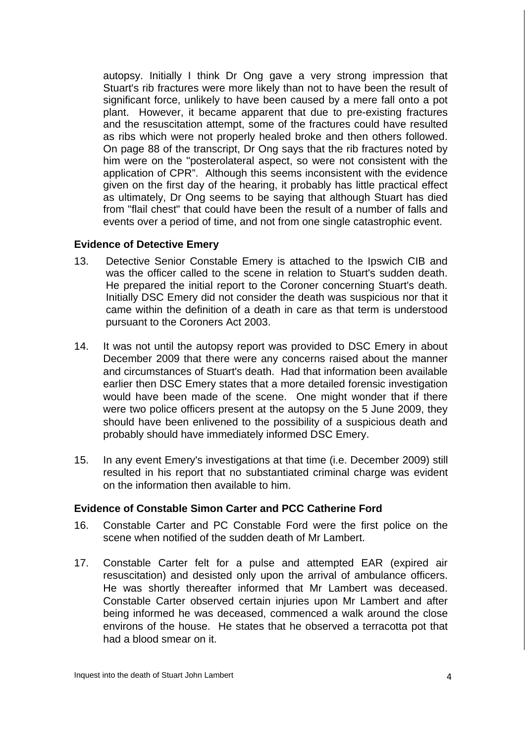autopsy. Initially I think Dr Ong gave a very strong impression that Stuart's rib fractures were more likely than not to have been the result of significant force, unlikely to have been caused by a mere fall onto a pot plant. However, it became apparent that due to pre-existing fractures and the resuscitation attempt, some of the fractures could have resulted as ribs which were not properly healed broke and then others followed. On page 88 of the transcript, Dr Ong says that the rib fractures noted by him were on the "posterolateral aspect, so were not consistent with the application of CPR". Although this seems inconsistent with the evidence given on the first day of the hearing, it probably has little practical effect as ultimately, Dr Ong seems to be saying that although Stuart has died from "flail chest" that could have been the result of a number of falls and events over a period of time, and not from one single catastrophic event.

#### **Evidence of Detective Emery**

- 13. Detective Senior Constable Emery is attached to the Ipswich CIB and was the officer called to the scene in relation to Stuart's sudden death. He prepared the initial report to the Coroner concerning Stuart's death. Initially DSC Emery did not consider the death was suspicious nor that it came within the definition of a death in care as that term is understood pursuant to the Coroners Act 2003.
- 14. It was not until the autopsy report was provided to DSC Emery in about December 2009 that there were any concerns raised about the manner and circumstances of Stuart's death. Had that information been available earlier then DSC Emery states that a more detailed forensic investigation would have been made of the scene. One might wonder that if there were two police officers present at the autopsy on the 5 June 2009, they should have been enlivened to the possibility of a suspicious death and probably should have immediately informed DSC Emery.
- 15. In any event Emery's investigations at that time (i.e. December 2009) still resulted in his report that no substantiated criminal charge was evident on the information then available to him.

#### **Evidence of Constable Simon Carter and PCC Catherine Ford**

- 16. Constable Carter and PC Constable Ford were the first police on the scene when notified of the sudden death of Mr Lambert.
- 17. Constable Carter felt for a pulse and attempted EAR (expired air resuscitation) and desisted only upon the arrival of ambulance officers. He was shortly thereafter informed that Mr Lambert was deceased. Constable Carter observed certain injuries upon Mr Lambert and after being informed he was deceased, commenced a walk around the close environs of the house. He states that he observed a terracotta pot that had a blood smear on it.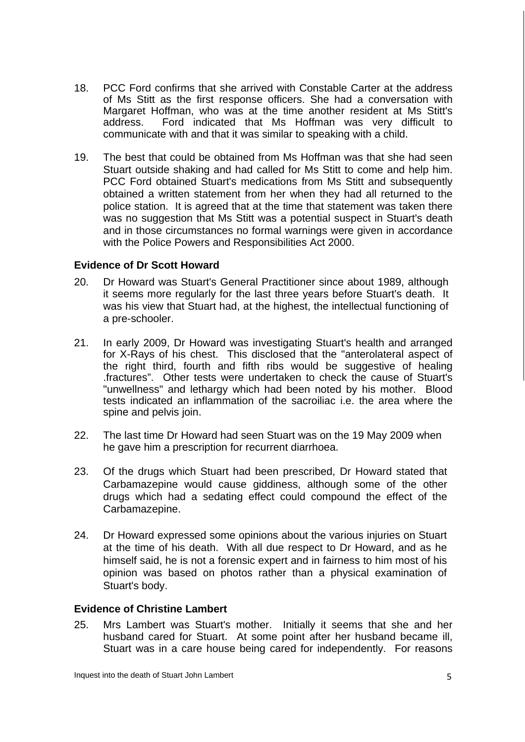- 18. PCC Ford confirms that she arrived with Constable Carter at the address of Ms Stitt as the first response officers. She had a conversation with Margaret Hoffman, who was at the time another resident at Ms Stitt's address. Ford indicated that Ms Hoffman was very difficult to communicate with and that it was similar to speaking with a child.
- 19. The best that could be obtained from Ms Hoffman was that she had seen Stuart outside shaking and had called for Ms Stitt to come and help him. PCC Ford obtained Stuart's medications from Ms Stitt and subsequently obtained a written statement from her when they had all returned to the police station. It is agreed that at the time that statement was taken there was no suggestion that Ms Stitt was a potential suspect in Stuart's death and in those circumstances no formal warnings were given in accordance with the Police Powers and Responsibilities Act 2000.

#### **Evidence of Dr Scott Howard**

- 20. Dr Howard was Stuart's General Practitioner since about 1989, although it seems more regularly for the last three years before Stuart's death. It was his view that Stuart had, at the highest, the intellectual functioning of a pre-schooler.
- 21. In early 2009, Dr Howard was investigating Stuart's health and arranged for X-Rays of his chest. This disclosed that the "anterolateral aspect of the right third, fourth and fifth ribs would be suggestive of healing .fractures". Other tests were undertaken to check the cause of Stuart's "unwellness" and lethargy which had been noted by his mother. Blood tests indicated an inflammation of the sacroiliac i.e. the area where the spine and pelvis join.
- 22. The last time Dr Howard had seen Stuart was on the 19 May 2009 when he gave him a prescription for recurrent diarrhoea.
- 23. Of the drugs which Stuart had been prescribed, Dr Howard stated that Carbamazepine would cause giddiness, although some of the other drugs which had a sedating effect could compound the effect of the Carbamazepine.
- 24. Dr Howard expressed some opinions about the various injuries on Stuart at the time of his death. With all due respect to Dr Howard, and as he himself said, he is not a forensic expert and in fairness to him most of his opinion was based on photos rather than a physical examination of Stuart's body.

#### **Evidence of Christine Lambert**

25. Mrs Lambert was Stuart's mother. Initially it seems that she and her husband cared for Stuart. At some point after her husband became ill, Stuart was in a care house being cared for independently. For reasons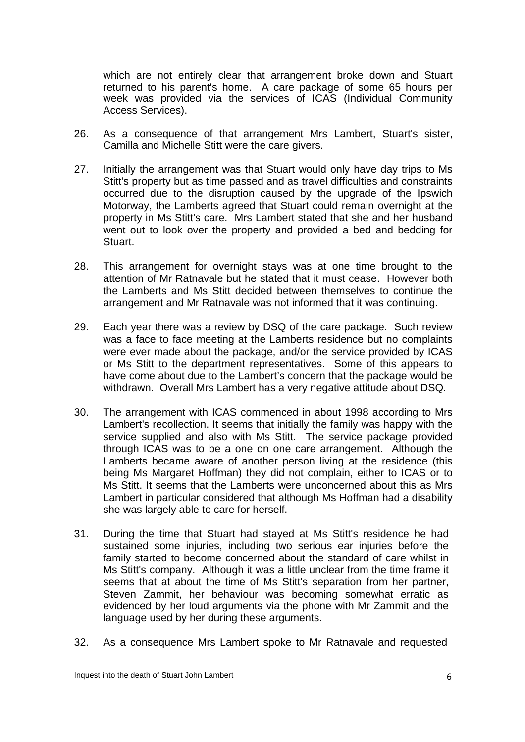which are not entirely clear that arrangement broke down and Stuart returned to his parent's home. A care package of some 65 hours per week was provided via the services of ICAS (Individual Community Access Services).

- 26. As a consequence of that arrangement Mrs Lambert, Stuart's sister, Camilla and Michelle Stitt were the care givers.
- 27. Initially the arrangement was that Stuart would only have day trips to Ms Stitt's property but as time passed and as travel difficulties and constraints occurred due to the disruption caused by the upgrade of the Ipswich Motorway, the Lamberts agreed that Stuart could remain overnight at the property in Ms Stitt's care. Mrs Lambert stated that she and her husband went out to look over the property and provided a bed and bedding for Stuart.
- 28. This arrangement for overnight stays was at one time brought to the attention of Mr Ratnavale but he stated that it must cease. However both the Lamberts and Ms Stitt decided between themselves to continue the arrangement and Mr Ratnavale was not informed that it was continuing.
- 29. Each year there was a review by DSQ of the care package. Such review was a face to face meeting at the Lamberts residence but no complaints were ever made about the package, and/or the service provided by ICAS or Ms Stitt to the department representatives. Some of this appears to have come about due to the Lambert's concern that the package would be withdrawn. Overall Mrs Lambert has a very negative attitude about DSQ.
- 30. The arrangement with ICAS commenced in about 1998 according to Mrs Lambert's recollection. It seems that initially the family was happy with the service supplied and also with Ms Stitt. The service package provided through ICAS was to be a one on one care arrangement. Although the Lamberts became aware of another person living at the residence (this being Ms Margaret Hoffman) they did not complain, either to ICAS or to Ms Stitt. It seems that the Lamberts were unconcerned about this as Mrs Lambert in particular considered that although Ms Hoffman had a disability she was largely able to care for herself.
- 31. During the time that Stuart had stayed at Ms Stitt's residence he had sustained some injuries, including two serious ear injuries before the family started to become concerned about the standard of care whilst in Ms Stitt's company. Although it was a little unclear from the time frame it seems that at about the time of Ms Stitt's separation from her partner, Steven Zammit, her behaviour was becoming somewhat erratic as evidenced by her loud arguments via the phone with Mr Zammit and the language used by her during these arguments.
- 32. As a consequence Mrs Lambert spoke to Mr Ratnavale and requested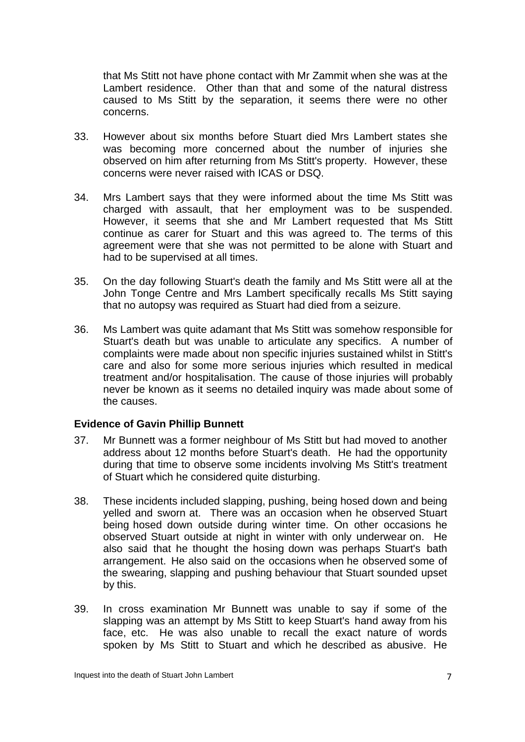that Ms Stitt not have phone contact with Mr Zammit when she was at the Lambert residence. Other than that and some of the natural distress caused to Ms Stitt by the separation, it seems there were no other concerns.

- 33. However about six months before Stuart died Mrs Lambert states she was becoming more concerned about the number of injuries she observed on him after returning from Ms Stitt's property. However, these concerns were never raised with ICAS or DSQ.
- 34. Mrs Lambert says that they were informed about the time Ms Stitt was charged with assault, that her employment was to be suspended. However, it seems that she and Mr Lambert requested that Ms Stitt continue as carer for Stuart and this was agreed to. The terms of this agreement were that she was not permitted to be alone with Stuart and had to be supervised at all times.
- 35. On the day following Stuart's death the family and Ms Stitt were all at the John Tonge Centre and Mrs Lambert specifically recalls Ms Stitt saying that no autopsy was required as Stuart had died from a seizure.
- 36. Ms Lambert was quite adamant that Ms Stitt was somehow responsible for Stuart's death but was unable to articulate any specifics. A number of complaints were made about non specific injuries sustained whilst in Stitt's care and also for some more serious injuries which resulted in medical treatment and/or hospitalisation. The cause of those injuries will probably never be known as it seems no detailed inquiry was made about some of the causes.

#### **Evidence of Gavin Phillip Bunnett**

- 37. Mr Bunnett was a former neighbour of Ms Stitt but had moved to another address about 12 months before Stuart's death. He had the opportunity during that time to observe some incidents involving Ms Stitt's treatment of Stuart which he considered quite disturbing.
- 38. These incidents included slapping, pushing, being hosed down and being yelled and sworn at. There was an occasion when he observed Stuart being hosed down outside during winter time. On other occasions he observed Stuart outside at night in winter with only underwear on. He also said that he thought the hosing down was perhaps Stuart's bath arrangement. He also said on the occasions when he observed some of the swearing, slapping and pushing behaviour that Stuart sounded upset by this.
- 39. In cross examination Mr Bunnett was unable to say if some of the slapping was an attempt by Ms Stitt to keep Stuart's hand away from his face, etc. He was also unable to recall the exact nature of words spoken by Ms Stitt to Stuart and which he described as abusive. He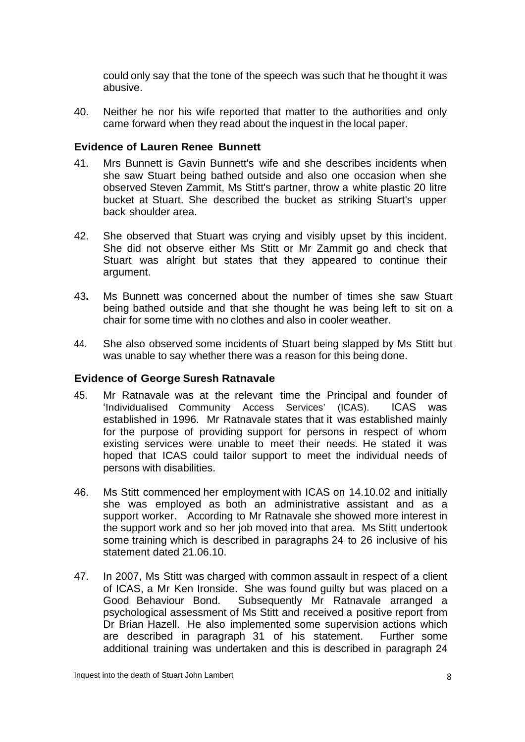could only say that the tone of the speech was such that he thought it was abusive.

40. Neither he nor his wife reported that matter to the authorities and only came forward when they read about the inquest in the local paper.

#### **Evidence of Lauren Renee Bunnett**

- 41. Mrs Bunnett is Gavin Bunnett's wife and she describes incidents when she saw Stuart being bathed outside and also one occasion when she observed Steven Zammit, Ms Stitt's partner, throw a white plastic 20 litre bucket at Stuart. She described the bucket as striking Stuart's upper back shoulder area.
- 42. She observed that Stuart was crying and visibly upset by this incident. She did not observe either Ms Stitt or Mr Zammit go and check that Stuart was alright but states that they appeared to continue their argument.
- 43**.** Ms Bunnett was concerned about the number of times she saw Stuart being bathed outside and that she thought he was being left to sit on a chair for some time with no clothes and also in cooler weather.
- 44. She also observed some incidents of Stuart being slapped by Ms Stitt but was unable to say whether there was a reason for this being done.

#### **Evidence of George Suresh Ratnavale**

- 45. Mr Ratnavale was at the relevant time the Principal and founder of 'Individualised Community Access Services' (ICAS).ICAS was established in 1996. Mr Ratnavale states that it was established mainly for the purpose of providing support for persons in respect of whom existing services were unable to meet their needs. He stated it was hoped that ICAS could tailor support to meet the individual needs of persons with disabilities.
- 46. Ms Stitt commenced her employment with ICAS on 14.10.02 and initially she was employed as both an administrative assistant and as a support worker. According to Mr Ratnavale she showed more interest in the support work and so her job moved into that area. Ms Stitt undertook some training which is described in paragraphs 24 to 26 inclusive of his statement dated 21.06.10.
- 47. In 2007, Ms Stitt was charged with common assault in respect of a client of ICAS, a Mr Ken Ironside. She was found guilty but was placed on a Good Behaviour Bond. Subsequently Mr Ratnavale arranged a psychological assessment of Ms Stitt and received a positive report from Dr Brian Hazell. He also implemented some supervision actions which are described in paragraph 31 of his statement. Further some additional training was undertaken and this is described in paragraph 24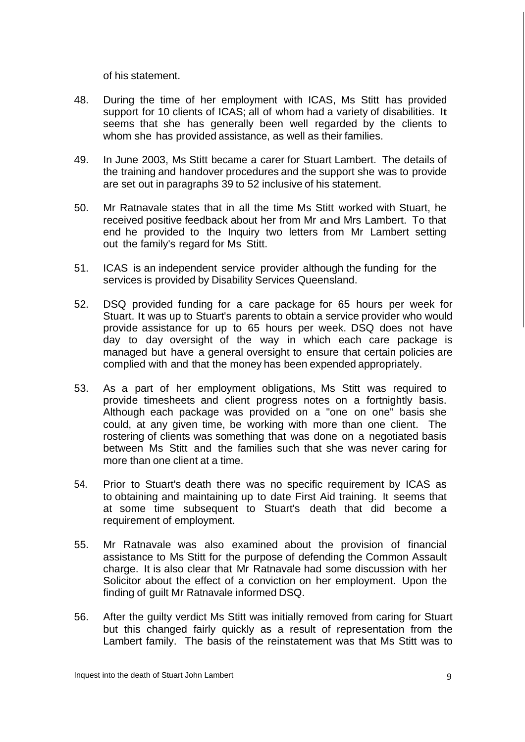of his statement.

- 48. During the time of her employment with ICAS, Ms Stitt has provided support for 10 clients of ICAS; all of whom had a variety of disabilities. It seems that she has generally been well regarded by the clients to whom she has provided assistance, as well as their families.
- 49. In June 2003, Ms Stitt became a carer for Stuart Lambert. The details of the training and handover procedures and the support she was to provide are set out in paragraphs 39 to 52 inclusive of his statement.
- 50. Mr Ratnavale states that in all the time Ms Stitt worked with Stuart, he received positive feedback about her from Mr and Mrs Lambert. To that end he provided to the Inquiry two letters from Mr Lambert setting out the family's regard for Ms Stitt.
- 51. ICAS is an independent service provider although the funding for the services is provided by Disability Services Queensland.
- 52. DSQ provided funding for a care package for 65 hours per week for Stuart. It was up to Stuart's parents to obtain a service provider who would provide assistance for up to 65 hours per week. DSQ does not have day to day oversight of the way in which each care package is managed but have a general oversight to ensure that certain policies are complied with and that the money has been expended appropriately.
- 53. As a part of her employment obligations, Ms Stitt was required to provide timesheets and client progress notes on a fortnightly basis. Although each package was provided on a "one on one" basis she could, at any given time, be working with more than one client. The rostering of clients was something that was done on a negotiated basis between Ms Stitt and the families such that she was never caring for more than one client at a time.
- 54. Prior to Stuart's death there was no specific requirement by ICAS as to obtaining and maintaining up to date First Aid training. It seems that at some time subsequent to Stuart's death that did become a requirement of employment.
- 55. Mr Ratnavale was also examined about the provision of financial assistance to Ms Stitt for the purpose of defending the Common Assault charge. It is also clear that Mr Ratnavale had some discussion with her Solicitor about the effect of a conviction on her employment. Upon the finding of guilt Mr Ratnavale informed DSQ.
- 56. After the guilty verdict Ms Stitt was initially removed from caring for Stuart but this changed fairly quickly as a result of representation from the Lambert family. The basis of the reinstatement was that Ms Stitt was to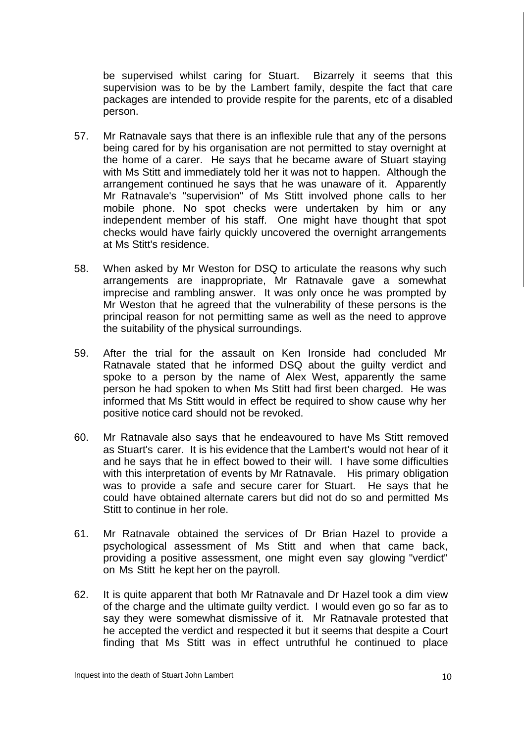be supervised whilst caring for Stuart. Bizarrely it seems that this supervision was to be by the Lambert family, despite the fact that care packages are intended to provide respite for the parents, etc of a disabled person.

- 57. Mr Ratnavale says that there is an inflexible rule that any of the persons being cared for by his organisation are not permitted to stay overnight at the home of a carer. He says that he became aware of Stuart staying with Ms Stitt and immediately told her it was not to happen. Although the arrangement continued he says that he was unaware of it. Apparently Mr Ratnavale's "supervision" of Ms Stitt involved phone calls to her mobile phone. No spot checks were undertaken by him or any independent member of his staff. One might have thought that spot checks would have fairly quickly uncovered the overnight arrangements at Ms Stitt's residence.
- 58. When asked by Mr Weston for DSQ to articulate the reasons why such arrangements are inappropriate, Mr Ratnavale gave a somewhat imprecise and rambling answer. It was only once he was prompted by Mr Weston that he agreed that the vulnerability of these persons is the principal reason for not permitting same as well as the need to approve the suitability of the physical surroundings.
- 59. After the trial for the assault on Ken Ironside had concluded Mr Ratnavale stated that he informed DSQ about the guilty verdict and spoke to a person by the name of Alex West, apparently the same person he had spoken to when Ms Stitt had first been charged. He was informed that Ms Stitt would in effect be required to show cause why her positive notice card should not be revoked.
- 60. Mr Ratnavale also says that he endeavoured to have Ms Stitt removed as Stuart's carer. It is his evidence that the Lambert's would not hear of it and he says that he in effect bowed to their will. I have some difficulties with this interpretation of events by Mr Ratnavale. His primary obligation was to provide a safe and secure carer for Stuart. He says that he could have obtained alternate carers but did not do so and permitted Ms Stitt to continue in her role.
- 61. Mr Ratnavale obtained the services of Dr Brian Hazel to provide a psychological assessment of Ms Stitt and when that came back, providing a positive assessment, one might even say glowing "verdict" on Ms Stitt he kept her on the payroll.
- 62. It is quite apparent that both Mr Ratnavale and Dr Hazel took a dim view of the charge and the ultimate guilty verdict. I would even go so far as to say they were somewhat dismissive of it. Mr Ratnavale protested that he accepted the verdict and respected it but it seems that despite a Court finding that Ms Stitt was in effect untruthful he continued to place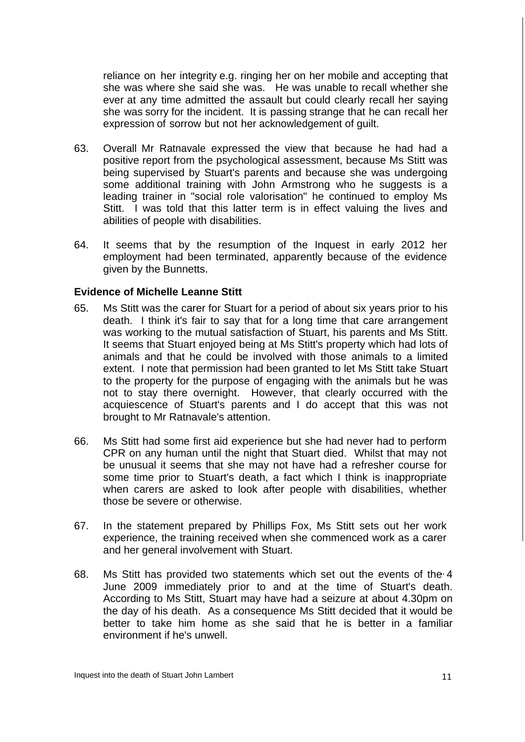reliance on her integrity e.g. ringing her on her mobile and accepting that she was where she said she was. He was unable to recall whether she ever at any time admitted the assault but could clearly recall her saying she was sorry for the incident. It is passing strange that he can recall her expression of sorrow but not her acknowledgement of guilt.

- 63. Overall Mr Ratnavale expressed the view that because he had had a positive report from the psychological assessment, because Ms Stitt was being supervised by Stuart's parents and because she was undergoing some additional training with John Armstrong who he suggests is a leading trainer in "social role valorisation" he continued to employ Ms Stitt. I was told that this latter term is in effect valuing the lives and abilities of people with disabilities.
- 64. It seems that by the resumption of the Inquest in early 2012 her employment had been terminated, apparently because of the evidence given by the Bunnetts.

#### **Evidence of Michelle Leanne Stitt**

- 65. Ms Stitt was the carer for Stuart for a period of about six years prior to his death. I think it's fair to say that for a long time that care arrangement was working to the mutual satisfaction of Stuart, his parents and Ms Stitt. It seems that Stuart enjoyed being at Ms Stitt's property which had lots of animals and that he could be involved with those animals to a limited extent. I note that permission had been granted to let Ms Stitt take Stuart to the property for the purpose of engaging with the animals but he was not to stay there overnight. However, that clearly occurred with the acquiescence of Stuart's parents and I do accept that this was not brought to Mr Ratnavale's attention.
- 66. Ms Stitt had some first aid experience but she had never had to perform CPR on any human until the night that Stuart died. Whilst that may not be unusual it seems that she may not have had a refresher course for some time prior to Stuart's death, a fact which I think is inappropriate when carers are asked to look after people with disabilities, whether those be severe or otherwise.
- 67. In the statement prepared by Phillips Fox, Ms Stitt sets out her work experience, the training received when she commenced work as a carer and her general involvement with Stuart.
- 68. Ms Stitt has provided two statements which set out the events of the 4 June 2009 immediately prior to and at the time of Stuart's death. According to Ms Stitt, Stuart may have had a seizure at about 4.30pm on the day of his death. As a consequence Ms Stitt decided that it would be better to take him home as she said that he is better in a familiar environment if he's unwell.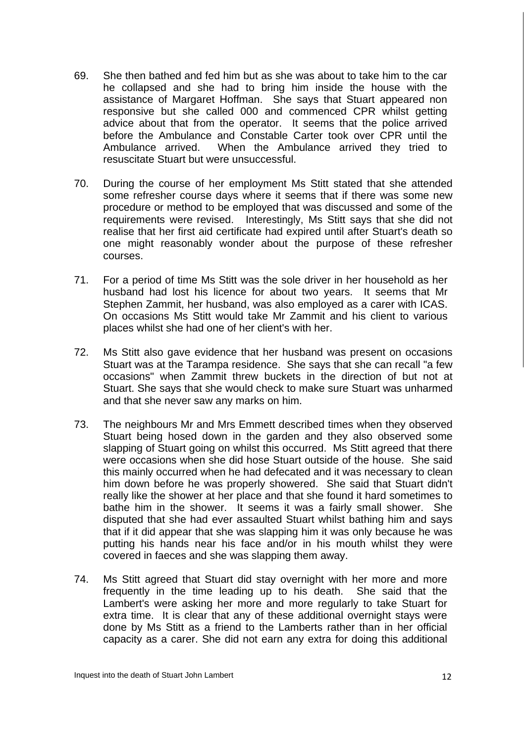- 69. She then bathed and fed him but as she was about to take him to the car he collapsed and she had to bring him inside the house with the assistance of Margaret Hoffman. She says that Stuart appeared non responsive but she called 000 and commenced CPR whilst getting advice about that from the operator. It seems that the police arrived before the Ambulance and Constable Carter took over CPR until the Ambulance arrived. When the Ambulance arrived they tried to resuscitate Stuart but were unsuccessful.
- 70. During the course of her employment Ms Stitt stated that she attended some refresher course days where it seems that if there was some new procedure or method to be employed that was discussed and some of the requirements were revised. Interestingly, Ms Stitt says that she did not realise that her first aid certificate had expired until after Stuart's death so one might reasonably wonder about the purpose of these refresher courses.
- 71. For a period of time Ms Stitt was the sole driver in her household as her husband had lost his licence for about two years. It seems that Mr Stephen Zammit, her husband, was also employed as a carer with ICAS. On occasions Ms Stitt would take Mr Zammit and his client to various places whilst she had one of her client's with her.
- 72. Ms Stitt also gave evidence that her husband was present on occasions Stuart was at the Tarampa residence. She says that she can recall "a few occasions" when Zammit threw buckets in the direction of but not at Stuart. She says that she would check to make sure Stuart was unharmed and that she never saw any marks on him.
- 73. The neighbours Mr and Mrs Emmett described times when they observed Stuart being hosed down in the garden and they also observed some slapping of Stuart going on whilst this occurred. Ms Stitt agreed that there were occasions when she did hose Stuart outside of the house. She said this mainly occurred when he had defecated and it was necessary to clean him down before he was properly showered. She said that Stuart didn't really like the shower at her place and that she found it hard sometimes to bathe him in the shower. It seems it was a fairly small shower. She disputed that she had ever assaulted Stuart whilst bathing him and says that if it did appear that she was slapping him it was only because he was putting his hands near his face and/or in his mouth whilst they were covered in faeces and she was slapping them away.
- 74. Ms Stitt agreed that Stuart did stay overnight with her more and more frequently in the time leading up to his death. She said that the Lambert's were asking her more and more regularly to take Stuart for extra time. It is clear that any of these additional overnight stays were done by Ms Stitt as a friend to the Lamberts rather than in her official capacity as a carer. She did not earn any extra for doing this additional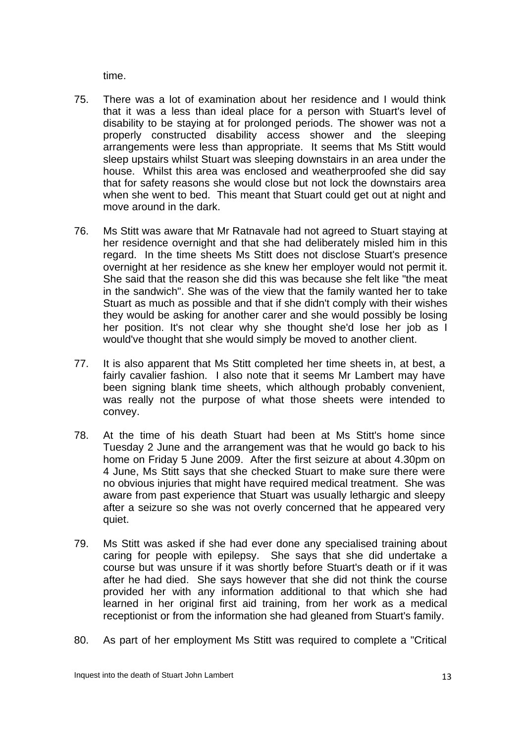time.

- 75. There was a lot of examination about her residence and I would think that it was a less than ideal place for a person with Stuart's level of disability to be staying at for prolonged periods. The shower was not a properly constructed disability access shower and the sleeping arrangements were less than appropriate. It seems that Ms Stitt would sleep upstairs whilst Stuart was sleeping downstairs in an area under the house. Whilst this area was enclosed and weatherproofed she did say that for safety reasons she would close but not lock the downstairs area when she went to bed. This meant that Stuart could get out at night and move around in the dark.
- 76. Ms Stitt was aware that Mr Ratnavale had not agreed to Stuart staying at her residence overnight and that she had deliberately misled him in this regard. In the time sheets Ms Stitt does not disclose Stuart's presence overnight at her residence as she knew her employer would not permit it. She said that the reason she did this was because she felt like "the meat in the sandwich". She was of the view that the family wanted her to take Stuart as much as possible and that if she didn't comply with their wishes they would be asking for another carer and she would possibly be losing her position. It's not clear why she thought she'd lose her job as I would've thought that she would simply be moved to another client.
- 77. It is also apparent that Ms Stitt completed her time sheets in, at best, a fairly cavalier fashion. I also note that it seems Mr Lambert may have been signing blank time sheets, which although probably convenient, was really not the purpose of what those sheets were intended to convey.
- 78. At the time of his death Stuart had been at Ms Stitt's home since Tuesday 2 June and the arrangement was that he would go back to his home on Friday 5 June 2009. After the first seizure at about 4.30pm on 4 June, Ms Stitt says that she checked Stuart to make sure there were no obvious injuries that might have required medical treatment. She was aware from past experience that Stuart was usually lethargic and sleepy after a seizure so she was not overly concerned that he appeared very quiet.
- 79. Ms Stitt was asked if she had ever done any specialised training about caring for people with epilepsy. She says that she did undertake a course but was unsure if it was shortly before Stuart's death or if it was after he had died. She says however that she did not think the course provided her with any information additional to that which she had learned in her original first aid training, from her work as a medical receptionist or from the information she had gleaned from Stuart's family.
- 80. As part of her employment Ms Stitt was required to complete a "Critical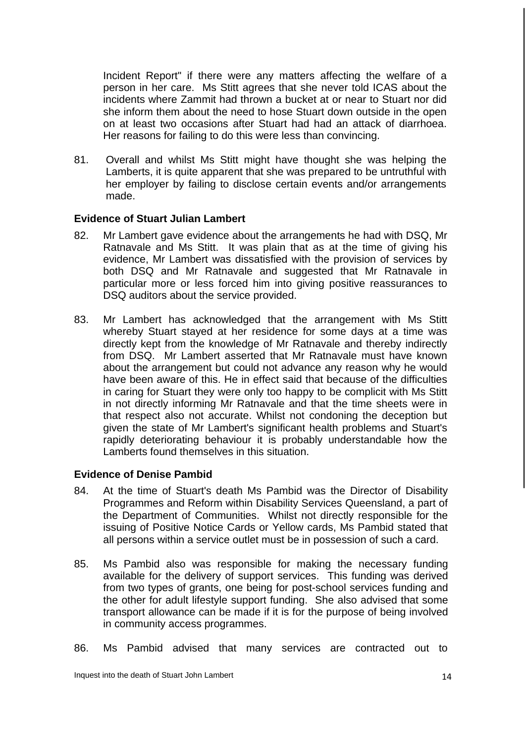Incident Report" if there were any matters affecting the welfare of a person in her care. Ms Stitt agrees that she never told ICAS about the incidents where Zammit had thrown a bucket at or near to Stuart nor did she inform them about the need to hose Stuart down outside in the open on at least two occasions after Stuart had had an attack of diarrhoea. Her reasons for failing to do this were less than convincing.

81. Overall and whilst Ms Stitt might have thought she was helping the Lamberts, it is quite apparent that she was prepared to be untruthful with her employer by failing to disclose certain events and/or arrangements made.

#### **Evidence of Stuart Julian Lambert**

- 82. Mr Lambert gave evidence about the arrangements he had with DSQ, Mr Ratnavale and Ms Stitt. It was plain that as at the time of giving his evidence, Mr Lambert was dissatisfied with the provision of services by both DSQ and Mr Ratnavale and suggested that Mr Ratnavale in particular more or less forced him into giving positive reassurances to DSQ auditors about the service provided.
- 83. Mr Lambert has acknowledged that the arrangement with Ms Stitt whereby Stuart stayed at her residence for some days at a time was directly kept from the knowledge of Mr Ratnavale and thereby indirectly from DSQ. Mr Lambert asserted that Mr Ratnavale must have known about the arrangement but could not advance any reason why he would have been aware of this. He in effect said that because of the difficulties in caring for Stuart they were only too happy to be complicit with Ms Stitt in not directly informing Mr Ratnavale and that the time sheets were in that respect also not accurate. Whilst not condoning the deception but given the state of Mr Lambert's significant health problems and Stuart's rapidly deteriorating behaviour it is probably understandable how the Lamberts found themselves in this situation.

#### **Evidence of Denise Pambid**

- 84. At the time of Stuart's death Ms Pambid was the Director of Disability Programmes and Reform within Disability Services Queensland, a part of the Department of Communities. Whilst not directly responsible for the issuing of Positive Notice Cards or Yellow cards, Ms Pambid stated that all persons within a service outlet must be in possession of such a card.
- 85. Ms Pambid also was responsible for making the necessary funding available for the delivery of support services. This funding was derived from two types of grants, one being for post-school services funding and the other for adult lifestyle support funding. She also advised that some transport allowance can be made if it is for the purpose of being involved in community access programmes.
- 86. Ms Pambid advised that many services are contracted out to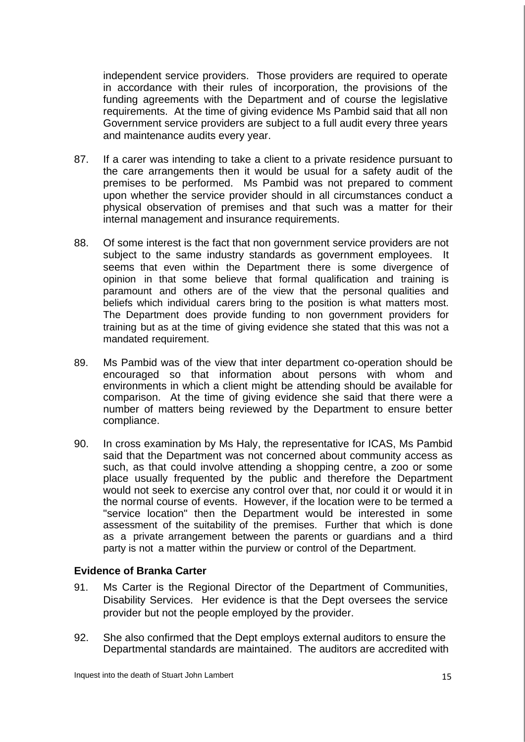independent service providers. Those providers are required to operate in accordance with their rules of incorporation, the provisions of the funding agreements with the Department and of course the legislative requirements. At the time of giving evidence Ms Pambid said that all non Government service providers are subject to a full audit every three years and maintenance audits every year.

- 87. If a carer was intending to take a client to a private residence pursuant to the care arrangements then it would be usual for a safety audit of the premises to be performed. Ms Pambid was not prepared to comment upon whether the service provider should in all circumstances conduct a physical observation of premises and that such was a matter for their internal management and insurance requirements.
- 88. Of some interest is the fact that non government service providers are not subject to the same industry standards as government employees. It seems that even within the Department there is some divergence of opinion in that some believe that formal qualification and training is paramount and others are of the view that the personal qualities and beliefs which individual carers bring to the position is what matters most. The Department does provide funding to non government providers for training but as at the time of giving evidence she stated that this was not a mandated requirement.
- 89. Ms Pambid was of the view that inter department co-operation should be encouraged so that information about persons with whom and environments in which a client might be attending should be available for comparison. At the time of giving evidence she said that there were a number of matters being reviewed by the Department to ensure better compliance.
- 90. In cross examination by Ms Haly, the representative for ICAS, Ms Pambid said that the Department was not concerned about community access as such, as that could involve attending a shopping centre, a zoo or some place usually frequented by the public and therefore the Department would not seek to exercise any control over that, nor could it or would it in the normal course of events. However, if the location were to be termed a "service location" then the Department would be interested in some assessment of the suitability of the premises. Further that which is done as a private arrangement between the parents or guardians and a third party is not a matter within the purview or control of the Department.

#### **Evidence of Branka Carter**

- 91. Ms Carter is the Regional Director of the Department of Communities, Disability Services. Her evidence is that the Dept oversees the service provider but not the people employed by the provider.
- 92. She also confirmed that the Dept employs external auditors to ensure the Departmental standards are maintained. The auditors are accredited with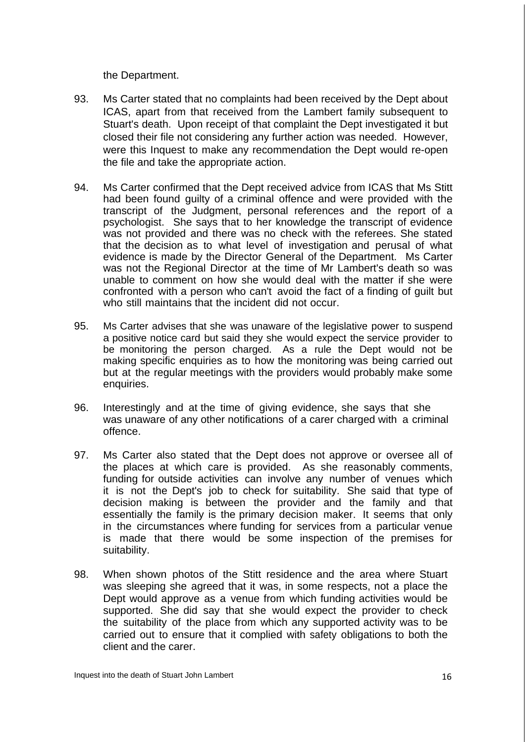the Department.

- 93. Ms Carter stated that no complaints had been received by the Dept about ICAS, apart from that received from the Lambert family subsequent to Stuart's death. Upon receipt of that complaint the Dept investigated it but closed their file not considering any further action was needed. However, were this Inquest to make any recommendation the Dept would re-open the file and take the appropriate action.
- 94. Ms Carter confirmed that the Dept received advice from ICAS that Ms Stitt had been found guilty of a criminal offence and were provided with the transcript of the Judgment, personal references and the report of a psychologist. She says that to her knowledge the transcript of evidence was not provided and there was no check with the referees. She stated that the decision as to what level of investigation and perusal of what evidence is made by the Director General of the Department. Ms Carter was not the Regional Director at the time of Mr Lambert's death so was unable to comment on how she would deal with the matter if she were confronted with a person who can't avoid the fact of a finding of guilt but who still maintains that the incident did not occur.
- 95. Ms Carter advises that she was unaware of the legislative power to suspend a positive notice card but said they she would expect the service provider to be monitoring the person charged. As a rule the Dept would not be making specific enquiries as to how the monitoring was being carried out but at the regular meetings with the providers would probably make some enquiries.
- 96. Interestingly and at the time of giving evidence, she says that she was unaware of any other notifications of a carer charged with a criminal offence.
- 97. Ms Carter also stated that the Dept does not approve or oversee all of the places at which care is provided. As she reasonably comments, funding for outside activities can involve any number of venues which it is not the Dept's job to check for suitability. She said that type of decision making is between the provider and the family and that essentially the family is the primary decision maker. It seems that only in the circumstances where funding for services from a particular venue is made that there would be some inspection of the premises for suitability.
- 98. When shown photos of the Stitt residence and the area where Stuart was sleeping she agreed that it was, in some respects, not a place the Dept would approve as a venue from which funding activities would be supported. She did say that she would expect the provider to check the suitability of the place from which any supported activity was to be carried out to ensure that it complied with safety obligations to both the client and the carer.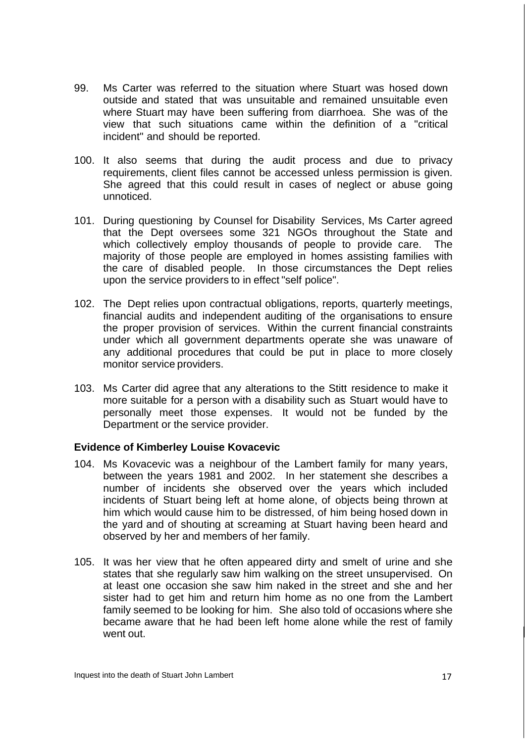- 99. Ms Carter was referred to the situation where Stuart was hosed down outside and stated that was unsuitable and remained unsuitable even where Stuart may have been suffering from diarrhoea. She was of the view that such situations came within the definition of a "critical incident" and should be reported.
- 100. It also seems that during the audit process and due to privacy requirements, client files cannot be accessed unless permission is given. She agreed that this could result in cases of neglect or abuse going unnoticed.
- 101. During questioning by Counsel for Disability Services, Ms Carter agreed that the Dept oversees some 321 NGOs throughout the State and which collectively employ thousands of people to provide care. The majority of those people are employed in homes assisting families with the care of disabled people. In those circumstances the Dept relies upon the service providers to in effect "self police".
- 102. The Dept relies upon contractual obligations, reports, quarterly meetings, financial audits and independent auditing of the organisations to ensure the proper provision of services. Within the current financial constraints under which all government departments operate she was unaware of any additional procedures that could be put in place to more closely monitor service providers.
- 103. Ms Carter did agree that any alterations to the Stitt residence to make it more suitable for a person with a disability such as Stuart would have to personally meet those expenses. It would not be funded by the Department or the service provider.

#### **Evidence of Kimberley Louise Kovacevic**

- 104. Ms Kovacevic was a neighbour of the Lambert family for many years, between the years 1981 and 2002. In her statement she describes a number of incidents she observed over the years which included incidents of Stuart being left at home alone, of objects being thrown at him which would cause him to be distressed, of him being hosed down in the yard and of shouting at screaming at Stuart having been heard and observed by her and members of her family.
- 105. It was her view that he often appeared dirty and smelt of urine and she states that she regularly saw him walking on the street unsupervised. On at least one occasion she saw him naked in the street and she and her sister had to get him and return him home as no one from the Lambert family seemed to be looking for him. She also told of occasions where she became aware that he had been left home alone while the rest of family went out.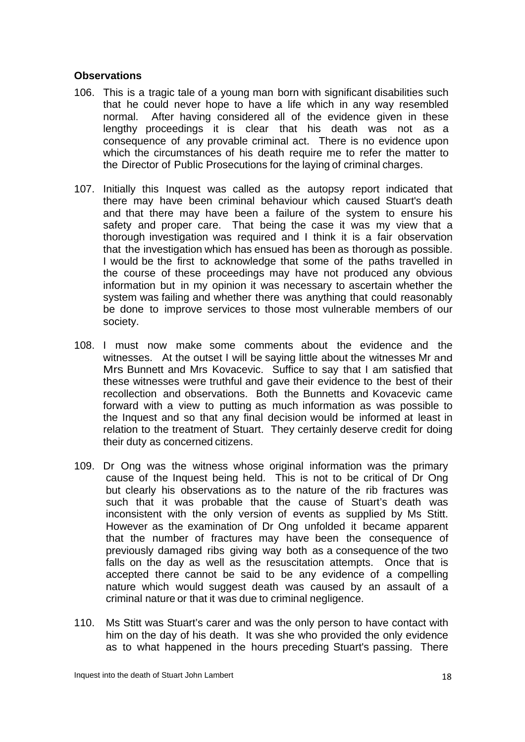#### **Observations**

- 106. This is a tragic tale of a young man born with significant disabilities such that he could never hope to have a life which in any way resembled normal. After having considered all of the evidence given in these lengthy proceedings it is clear that his death was not as a consequence of any provable criminal act. There is no evidence upon which the circumstances of his death require me to refer the matter to the Director of Public Prosecutions for the laying of criminal charges.
- 107. Initially this Inquest was called as the autopsy report indicated that there may have been criminal behaviour which caused Stuart's death and that there may have been a failure of the system to ensure his safety and proper care. That being the case it was my view that a thorough investigation was required and I think it is a fair observation that the investigation which has ensued has been as thorough as possible. I would be the first to acknowledge that some of the paths travelled in the course of these proceedings may have not produced any obvious information but in my opinion it was necessary to ascertain whether the system was failing and whether there was anything that could reasonably be done to improve services to those most vulnerable members of our society.
- 108. I must now make some comments about the evidence and the witnesses. At the outset I will be saying little about the witnesses Mr and Mrs Bunnett and Mrs Kovacevic. Suffice to say that I am satisfied that these witnesses were truthful and gave their evidence to the best of their recollection and observations. Both the Bunnetts and Kovacevic came forward with a view to putting as much information as was possible to the Inquest and so that any final decision would be informed at least in relation to the treatment of Stuart. They certainly deserve credit for doing their duty as concerned citizens.
- 109. Dr Ong was the witness whose original information was the primary cause of the Inquest being held. This is not to be critical of Dr Ong but clearly his observations as to the nature of the rib fractures was such that it was probable that the cause of Stuart's death was inconsistent with the only version of events as supplied by Ms Stitt. However as the examination of Dr Ong unfolded it became apparent that the number of fractures may have been the consequence of previously damaged ribs giving way both as a consequence of the two falls on the day as well as the resuscitation attempts. Once that is accepted there cannot be said to be any evidence of a compelling nature which would suggest death was caused by an assault of a criminal nature or that it was due to criminal negligence.
- 110. Ms Stitt was Stuart's carer and was the only person to have contact with him on the day of his death. It was she who provided the only evidence as to what happened in the hours preceding Stuart's passing. There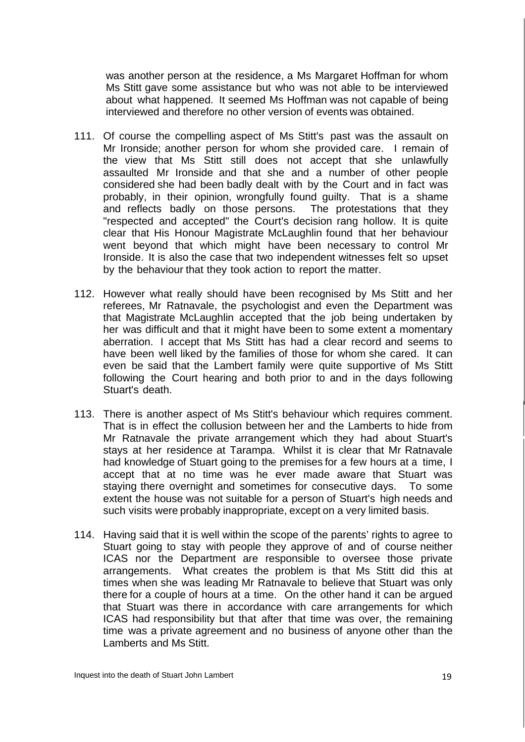was another person at the residence, a Ms Margaret Hoffman for whom Ms Stitt gave some assistance but who was not able to be interviewed about what happened. It seemed Ms Hoffman was not capable of being interviewed and therefore no other version of events was obtained.

- 111. Of course the compelling aspect of Ms Stitt's past was the assault on Mr Ironside; another person for whom she provided care. I remain of the view that Ms Stitt still does not accept that she unlawfully assaulted Mr Ironside and that she and a number of other people considered she had been badly dealt with by the Court and in fact was probably, in their opinion, wrongfully found guilty. That is a shame and reflects badly on those persons. The protestations that they "respected and accepted" the Court's decision rang hollow. It is quite clear that His Honour Magistrate McLaughlin found that her behaviour went beyond that which might have been necessary to control Mr Ironside. It is also the case that two independent witnesses felt so upset by the behaviour that they took action to report the matter.
- 112. However what really should have been recognised by Ms Stitt and her referees, Mr Ratnavale, the psychologist and even the Department was that Magistrate McLaughlin accepted that the job being undertaken by her was difficult and that it might have been to some extent a momentary aberration. I accept that Ms Stitt has had a clear record and seems to have been well liked by the families of those for whom she cared. It can even be said that the Lambert family were quite supportive of Ms Stitt following the Court hearing and both prior to and in the days following Stuart's death.
- 113. There is another aspect of Ms Stitt's behaviour which requires comment. That is in effect the collusion between her and the Lamberts to hide from Mr Ratnavale the private arrangement which they had about Stuart's stays at her residence at Tarampa. Whilst it is clear that Mr Ratnavale had knowledge of Stuart going to the premises for a few hours at a time, I accept that at no time was he ever made aware that Stuart was staying there overnight and sometimes for consecutive days. To some extent the house was not suitable for a person of Stuart's high needs and such visits were probably inappropriate, except on a very limited basis.
- 114. Having said that it is well within the scope of the parents' rights to agree to Stuart going to stay with people they approve of and of course neither ICAS nor the Department are responsible to oversee those private arrangements. What creates the problem is that Ms Stitt did this at times when she was leading Mr Ratnavale to believe that Stuart was only there for a couple of hours at a time. On the other hand it can be argued that Stuart was there in accordance with care arrangements for which ICAS had responsibility but that after that time was over, the remaining time was a private agreement and no business of anyone other than the Lamberts and Ms Stitt.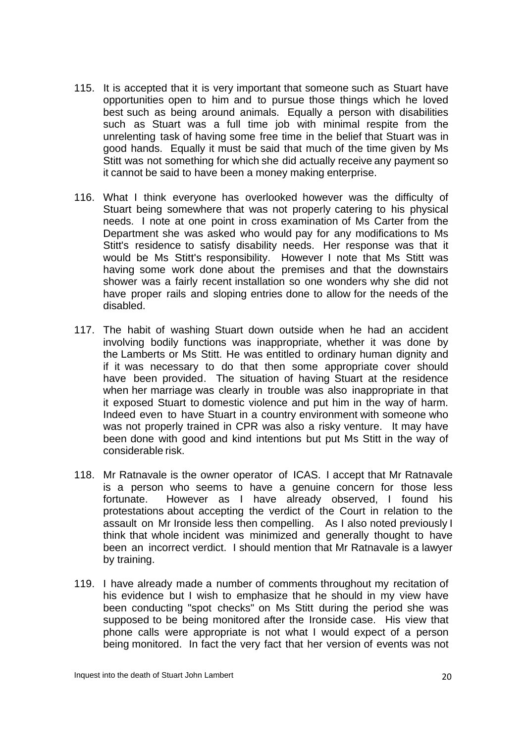- 115. It is accepted that it is very important that someone such as Stuart have opportunities open to him and to pursue those things which he loved best such as being around animals. Equally a person with disabilities such as Stuart was a full time job with minimal respite from the unrelenting task of having some free time in the belief that Stuart was in good hands. Equally it must be said that much of the time given by Ms Stitt was not something for which she did actually receive any payment so it cannot be said to have been a money making enterprise.
- 116. What I think everyone has overlooked however was the difficulty of Stuart being somewhere that was not properly catering to his physical needs. I note at one point in cross examination of Ms Carter from the Department she was asked who would pay for any modifications to Ms Stitt's residence to satisfy disability needs. Her response was that it would be Ms Stitt's responsibility. However I note that Ms Stitt was having some work done about the premises and that the downstairs shower was a fairly recent installation so one wonders why she did not have proper rails and sloping entries done to allow for the needs of the disabled.
- 117. The habit of washing Stuart down outside when he had an accident involving bodily functions was inappropriate, whether it was done by the Lamberts or Ms Stitt. He was entitled to ordinary human dignity and if it was necessary to do that then some appropriate cover should have been provided. The situation of having Stuart at the residence when her marriage was clearly in trouble was also inappropriate in that it exposed Stuart to domestic violence and put him in the way of harm. Indeed even to have Stuart in a country environment with someone who was not properly trained in CPR was also a risky venture. It may have been done with good and kind intentions but put Ms Stitt in the way of considerable risk.
- 118. Mr Ratnavale is the owner operator of ICAS. I accept that Mr Ratnavale is a person who seems to have a genuine concern for those less fortunate. However as I have already observed, I found his protestations about accepting the verdict of the Court in relation to the assault on Mr Ironside less then compelling. As I also noted previously I think that whole incident was minimized and generally thought to have been an incorrect verdict. I should mention that Mr Ratnavale is a lawyer by training.
- 119. I have already made a number of comments throughout my recitation of his evidence but I wish to emphasize that he should in my view have been conducting "spot checks" on Ms Stitt during the period she was supposed to be being monitored after the Ironside case. His view that phone calls were appropriate is not what I would expect of a person being monitored. In fact the very fact that her version of events was not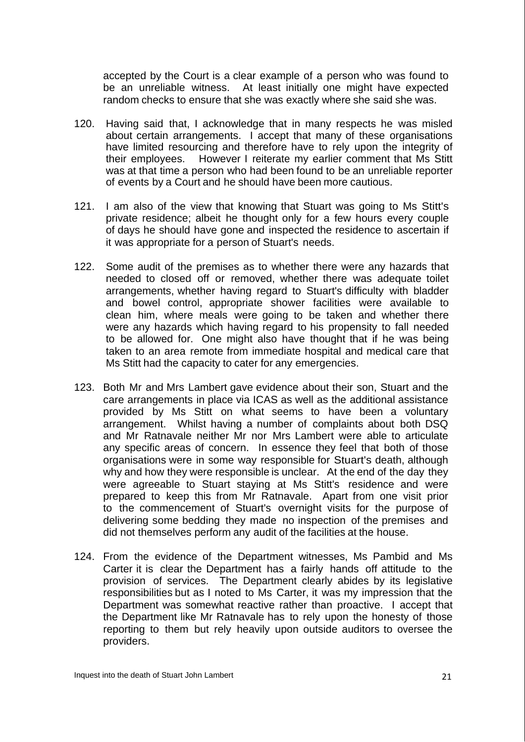accepted by the Court is a clear example of a person who was found to be an unreliable witness. At least initially one might have expected random checks to ensure that she was exactly where she said she was.

- 120. Having said that, I acknowledge that in many respects he was misled about certain arrangements. I accept that many of these organisations have limited resourcing and therefore have to rely upon the integrity of their employees. However I reiterate my earlier comment that Ms Stitt was at that time a person who had been found to be an unreliable reporter of events by a Court and he should have been more cautious.
- 121. I am also of the view that knowing that Stuart was going to Ms Stitt's private residence; albeit he thought only for a few hours every couple of days he should have gone and inspected the residence to ascertain if it was appropriate for a person of Stuart's needs.
- 122. Some audit of the premises as to whether there were any hazards that needed to closed off or removed, whether there was adequate toilet arrangements, whether having regard to Stuart's difficulty with bladder and bowel control, appropriate shower facilities were available to clean him, where meals were going to be taken and whether there were any hazards which having regard to his propensity to fall needed to be allowed for. One might also have thought that if he was being taken to an area remote from immediate hospital and medical care that Ms Stitt had the capacity to cater for any emergencies.
- 123. Both Mr and Mrs Lambert gave evidence about their son, Stuart and the care arrangements in place via ICAS as well as the additional assistance provided by Ms Stitt on what seems to have been a voluntary arrangement. Whilst having a number of complaints about both DSQ and Mr Ratnavale neither Mr nor Mrs Lambert were able to articulate any specific areas of concern. In essence they feel that both of those organisations were in some way responsible for Stuart's death, although why and how they were responsible is unclear. At the end of the day they were agreeable to Stuart staying at Ms Stitt's residence and were prepared to keep this from Mr Ratnavale. Apart from one visit prior to the commencement of Stuart's overnight visits for the purpose of delivering some bedding they made no inspection of the premises and did not themselves perform any audit of the facilities at the house.
- 124. From the evidence of the Department witnesses, Ms Pambid and Ms Carter it is clear the Department has a fairly hands off attitude to the provision of services. The Department clearly abides by its legislative responsibilities but as I noted to Ms Carter, it was my impression that the Department was somewhat reactive rather than proactive. I accept that the Department like Mr Ratnavale has to rely upon the honesty of those reporting to them but rely heavily upon outside auditors to oversee the providers.